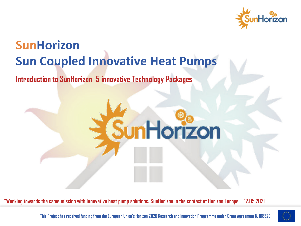

# **SunHorizon Sun Coupled Innovative Heat Pumps**

#### **Introduction to SunHorizon 5 innovative Technology Packages**



**"Working towards the same mission with innovative heat pump solutions: SunHorizon in the context of Horizon Europe" 12.05.2021**

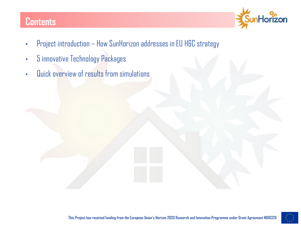### **Contents**



- Project introduction How SunHorizon addresses in EU H&C strategy
- 5 innovative Technology Packages
- Quick overview of results from simulations

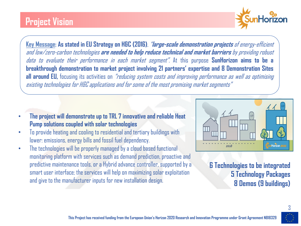### **Project Vision**



**Key Message: As stated in EU Strategy on H&C (2016)**, "**large-scale demonstration projects** of energy-efficient and low/zero-carbon technologies **are needed to help reduce technical and market barriers** by providing robust data to evaluate their performance in each market segment". At this purpose **SunHorizon aims to be a breakthrough demonstration to market project involving 21 partners' expertise and 8 Demonstration Sites all around EU,** focusing its activities on "reducing system costs and improving performance as well as optimising existing technologies for H&C applications and for some of the most promising market segments"

- **The project will demonstrate up to TRL 7 innovative and reliable Heat Pump solutions coupled with solar technologies**
- To provide heating and cooling to residential and tertiary buildings with lower: emissions, energy bills and fossil fuel dependency.
- The technologies will be properly managed by a cloud based functional monitoring platform with services such as demand prediction, proactive and predictive maintenance tools, or a Hybrid advance controller, supported by a smart user interface; the services will help on maximizing solar exploitation and give to the manufacturer inputs for new installation design.



**6 Technologies to be integrated 5 Technology Packages 8 Demos (9 buildings)**

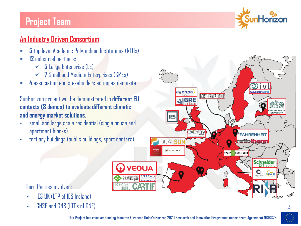### **Project Team**



#### **An Industry Driven Consortium**

- § **5** top level Academic Polytechnic Institutions (RTOs)
- § **12** industrial partners:
	- $\checkmark$  **5** Large Enterprise (LE)
	- $\checkmark$  7 Small and Medium Enterprises (SMEs)
- § **4** association and stakeholders acting as demosite

SunHorizon project will be demonstrated in **different EU contexts (8 demos) to evaluate different climatic and energy market solutions.**

- small and large scale residential (single house and apartment blocks)
- tertiary buildings (public buildings, sport centers).



#### Third Parties involved

- IES UK (LTP of IES Ireland)
- GNSE and GNS (LTPs of GNF)

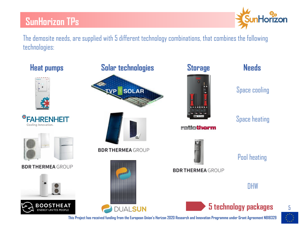

The demosite needs, are supplied with 5 different technology combinations, that combines the following technologies:

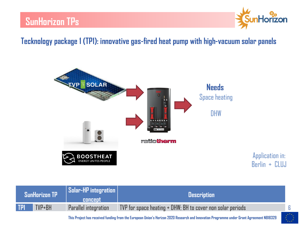

#### **Tecknology package 1 (TP1): innovative gas-fired heat pump with high-vacuum solar panels**



| SunHorizon TP <sup> </sup> |        | <b>Solar-HP</b> integration<br><b>CONCEDI</b> | <b>Description</b>                                           |
|----------------------------|--------|-----------------------------------------------|--------------------------------------------------------------|
| <b>TP1</b>                 | TVP+BH | Parallel integration                          | TVP for space heating $+$ DHW; BH to cover non solar periods |

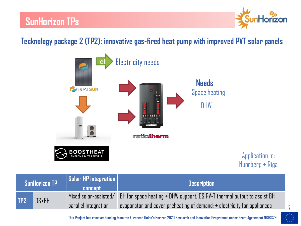

### **Tecknology package 2 (TP2): innovative gas-fired heat pump with improved PVT solar panels**



Application in: Nunrberg + Riga

| $\blacksquare$ SunHorizon TP $\blacksquare$ |           | $\parallel$ Solar-HP integration $\parallel$<br><b>concept</b> | <b>Description</b>                                                      |
|---------------------------------------------|-----------|----------------------------------------------------------------|-------------------------------------------------------------------------|
| TP <sub>2</sub>                             | $DS + BH$ | $Mixed$ solar-assisted $/$                                     | BH for space heating + DHW support; DS PV-T thermal output to assist BH |
|                                             |           | parallel integration                                           | evaporator and cover preheating of demand; + electricity for appliances |

**This Project has received funding from the European Union's Horizon 2020 Research and Innovation Programme under Grant Agreement N818329**



7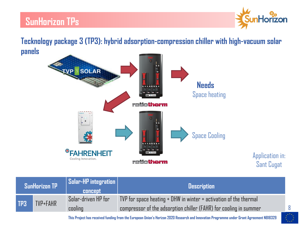

8

Application in:

Sant Cugat

**Tecknology package 3 (TP3): hybrid adsorption-compression chiller with high-vacuum solar panels**



| <b>SunHorizon TP</b> |                 | $\mid$ Solar-HP integration $\mid$<br><b>concept</b> | <b>Description</b>                                                                                                                         |
|----------------------|-----------------|------------------------------------------------------|--------------------------------------------------------------------------------------------------------------------------------------------|
| TP3                  | <b>TVP+FAHR</b> | Solar-driven HP for<br>cooling                       | TVP for space heating $+$ DHW in winter $+$ activation of the thermal<br>compressor of the adsorption chiller (FAHR) for cooling in summer |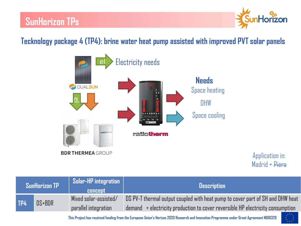

#### **Tecknology package 4 (TP4): brine water heat pump assisted with improved PVT solar panels**



Application in: Madrid + Piera

| SunHorizon TP |            | Solar-HP integration<br><b>CONCEDI</b> | <b>Description</b>                                                                            |
|---------------|------------|----------------------------------------|-----------------------------------------------------------------------------------------------|
| TP4           | $DS + BDR$ | Mixed solar-assisted/                  | DS PV-T thermal output coupled with heat pump to cover part of SH and DHW heat                |
|               |            | parallel integration                   | $d$ emand $\rightarrow$ electricity production to cover reversible HP electricity consumption |

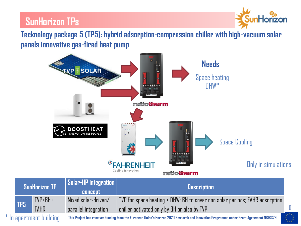

10

**Tecknology package 5 (TP5): hybrid adsorption-compression chiller with high-vacuum solar panels innovative gas-fired heat pump** 



|                       | SunHorizon TP   |             | Solar-HP integration<br><b>concept</b>                                                                                                   | <b>Description</b>                                                          |
|-----------------------|-----------------|-------------|------------------------------------------------------------------------------------------------------------------------------------------|-----------------------------------------------------------------------------|
|                       |                 | TVP+BH+     | Mixed solar-driven/                                                                                                                      | TVP for space heating + DHW; BH to cover non solar periods; FAHR adsorption |
|                       | TP <sub>5</sub> | <b>FAHR</b> | parallel integration                                                                                                                     | chiller activated only by BH or also by TVP                                 |
| In apartment building |                 |             | This Project has received funding from the European Union's Horizon 2020 Research and Innovation Programme under Grant Agreement N818329 |                                                                             |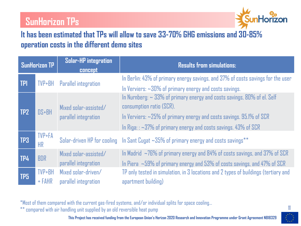

#### **It has been estimated that TPs will allow to save 33-70% GHG emissions and 30-85% operation costs in the different demo sites**

| SunHorizon TP   |                        | <b>Solar-HP integration</b><br><b>concept</b> | <b>Results from simulations:</b>                                                                                                                                                                                                                                                                                                |
|-----------------|------------------------|-----------------------------------------------|---------------------------------------------------------------------------------------------------------------------------------------------------------------------------------------------------------------------------------------------------------------------------------------------------------------------------------|
| <b>TP1</b>      | TVP+BH                 | <b>Parallel integration</b>                   | In Berlin: 43% of primary energy savings, and 37% of costs savings for the user                                                                                                                                                                                                                                                 |
| TP <sub>2</sub> | DS+BH                  | Mixed solar-assisted/<br>parallel integration | In Verviers: $\sim$ 30% of primary energy and costs savings.<br>In Nurnberg: $\sim$ 33% of primary energy and costs savings, 80% of el. Self<br>consumption ratio (SCR).<br>In Verviers: $\sim$ 25% of primary energy and costs savings. 95.1% of SCR<br>In Riga: $\approx$ 37% of primary energy and costs savings. 43% of SCR |
| TP3             | TVP+FA<br>HR           |                                               | Solar-driven HP for cooling In Sant Cugat $\sim$ 35% of primary energy and costs savings **                                                                                                                                                                                                                                     |
| TP4             | <b>BDR</b>             | Mixed solar-assisted/<br>parallel integration | In Madrid $\sim$ 76% of primary energy and 84% of costs savings, and 37% of SCR<br>In Piera $\sim$ 59% of primary energy and 53% of costs savings, and 47% of SCR                                                                                                                                                               |
| TP5             | $TVP + BH$<br>$+$ FAHR | Mixed solar-driven/<br>parallel integration   | TP only tested in simulation, in 3 locations and 2 types of buildings (tertiary and<br>apartment building)                                                                                                                                                                                                                      |

\*Most of them compared with the current gas-fired systems, and/or individual splits for space cooling…

\*\*compared with air handling unit supplied by an old reversible heat pump

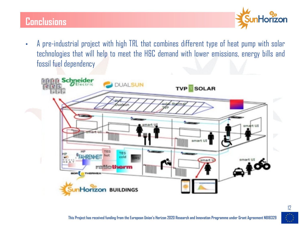### **Conclusions**



• A pre-industrial project with high TRL that combines different type of heat pump with solar technologies that will help to meet the H&C demand with lower emissions, energy bills and fossil fuel dependency